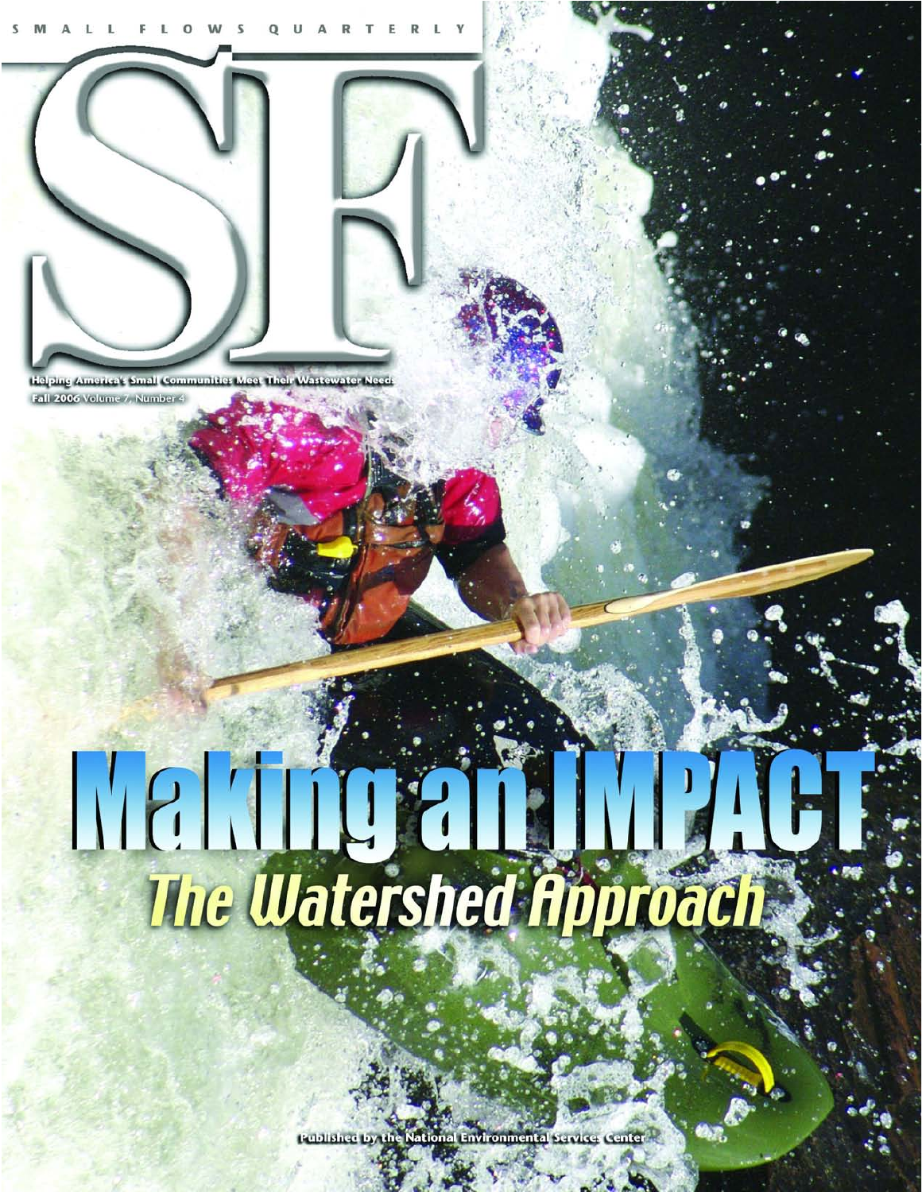

iping America's Small Communitie Fall 2006 Volume 7, Number 4

# 

**Rublished** *rironmenta*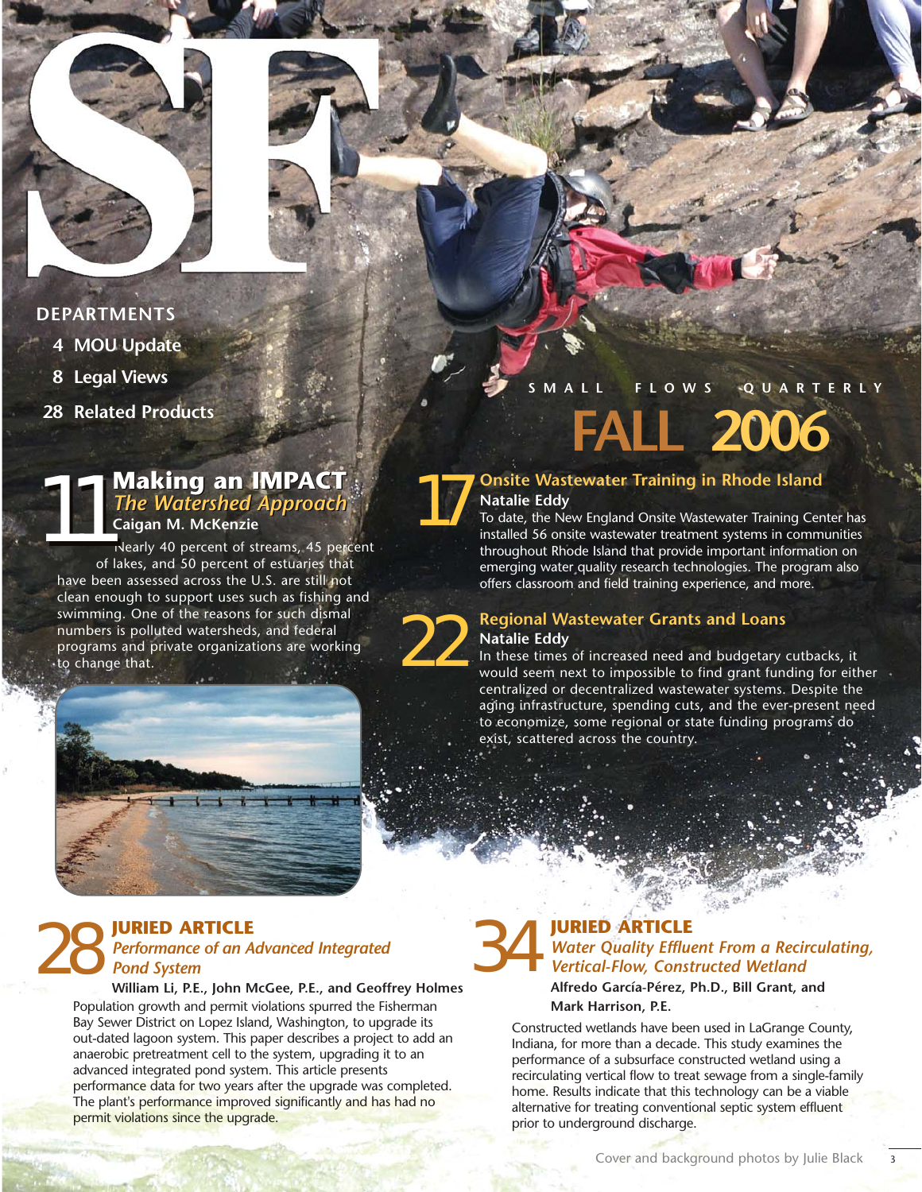

### **DEPARTMENTS**

- **4 MOU Update**
- **8 Legal Views**
- **28 Related Products**

### **11 Making an IMPACT**<br>The Watershed Approach<br>Caigan M. McKenzie<br>Nearly 40 percent of streams, 45 per *The Watershed Approach The Watershed Approach* **Making an IMPACT Caigan M. McKenzie**

Nearly 40 percent of streams, 45 percent of lakes, and 50 percent of estuaries that have been assessed across the U.S. are still not clean enough to support uses such as fishing and swimming. One of the reasons for such dismal numbers is polluted watersheds, and federal programs and private organizations are working swimming. One of the reasons for such dismal<br>numbers is polluted watersheds, and federal<br>programs and private organizations are working<br>to change that.



### **SMALL FLOWS QUARTERLY**

**FALL 2006**

### **Onsite Wastewater Training in Rhode Island Natalie Eddy**

To date, the New England Onsite Wastewater Training Center has installed 56 onsite wastewater treatment systems in communities throughout Rhode Island that provide important information on emerging water quality research technologies. The program also offers classroom and field training experience, and more.

### **Regional Wastewater Grants and Loans Natalie Eddy**

In these times of increased need and budgetary cutbacks, it would seem next to impossible to find grant funding for either centralized or decentralized wastewater systems. Despite the aging infrastructure, spending cuts, and the ever-present need to economize, some regional or state funding programs do exist, scattered across the country.

### **28 JURIED ARTICLE**<br>Performance of an Advanced Integrated<br>**28 Pond System** *Performance of an Advanced Integrated Pond System*

**William Li, P.E., John McGee, P.E., and Geoffrey Holmes** Population growth and permit violations spurred the Fisherman Bay Sewer District on Lopez Island, Washington, to upgrade its out-dated lagoon system. This paper describes a project to add an anaerobic pretreatment cell to the system, upgrading it to an advanced integrated pond system. This article presents performance data for two years after the upgrade was completed. The plant's performance improved significantly and has had no permit violations since the upgrade.

### **JURIED ARTICLE** *Water Quality Effluent From a Recirculating, Vertical-Flow, Constructed Wetland*

**Alfredo García-Pérez, Ph.D., Bill Grant, and Mark Harrison, P.E.**

Constructed wetlands have been used in LaGrange County, Indiana, for more than a decade. This study examines the performance of a subsurface constructed wetland using a recirculating vertical flow to treat sewage from a single-family home. Results indicate that this technology can be a viable alternative for treating conventional septic system effluent prior to underground discharge.

3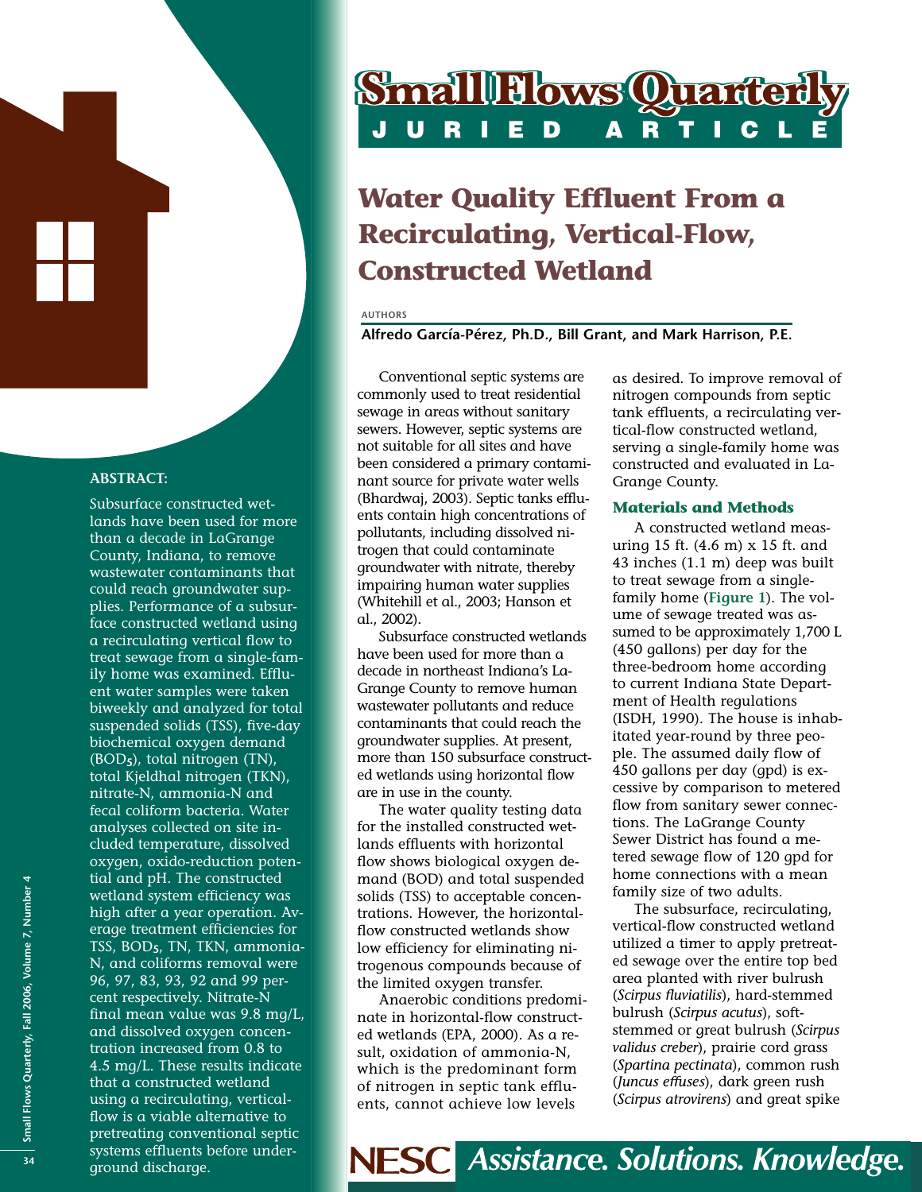### **ABSTRACT:**

Subsurface constructed wetlands have been used for more than a decade in LaGrange County, Indiana, to remove wastewater contaminants that could reach groundwater supplies. Performance of a subsurface constructed wetland using a recirculating vertical flow to treat sewage from a single-family home was examined. Effluent water samples were taken biweekly and analyzed for total suspended solids (TSS), five-day biochemical oxygen demand (BOD**5**), total nitrogen (TN), total Kjeldhal nitrogen (TKN), nitrate-N, ammonia-N and fecal coliform bacteria. Water analyses collected on site included temperature, dissolved oxygen, oxido-reduction potential and pH. The constructed wetland system efficiency was high after a year operation. Average treatment efficiencies for TSS, BOD**5**, TN, TKN, ammonia-N, and coliforms removal were 96, 97, 83, 93, 92 and 99 percent respectively. Nitrate-N final mean value was 9.8 mg/L, and dissolved oxygen concentration increased from 0.8 to 4.5 mg/L. These results indicate that a constructed wetland using a recirculating, verticalflow is a viable alternative to pretreating conventional septic systems effluents before underground discharge. **<sup>34</sup>**

# **Small Flows Quarter**

### **Water Quality Effluent From a Recirculating, Vertical-Flow, Constructed Wetland**

### **AUTHORS**

**Alfredo García-Pérez, Ph.D., Bill Grant, and Mark Harrison, P.E.**

Conventional septic systems are commonly used to treat residential sewage in areas without sanitary sewers. However, septic systems are not suitable for all sites and have been considered a primary contaminant source for private water wells (Bhardwaj, 2003). Septic tanks effluents contain high concentrations of pollutants, including dissolved nitrogen that could contaminate groundwater with nitrate, thereby impairing human water supplies (Whitehill et al., 2003; Hanson et al., 2002).

Subsurface constructed wetlands have been used for more than a decade in northeast Indiana's La-Grange County to remove human wastewater pollutants and reduce contaminants that could reach the groundwater supplies. At present, more than 150 subsurface constructed wetlands using horizontal flow are in use in the county.

The water quality testing data for the installed constructed wetlands effluents with horizontal flow shows biological oxygen demand (BOD) and total suspended solids (TSS) to acceptable concentrations. However, the horizontalflow constructed wetlands show low efficiency for eliminating nitrogenous compounds because of the limited oxygen transfer.

Anaerobic conditions predominate in horizontal-flow constructed wetlands (EPA, 2000). As a result, oxidation of ammonia-N, which is the predominant form of nitrogen in septic tank effluents, cannot achieve low levels

as desired. To improve removal of nitrogen compounds from septic tank effluents, a recirculating vertical-flow constructed wetland, serving a single-family home was constructed and evaluated in La-Grange County.

### **Materials and Methods**

A constructed wetland measuring 15 ft. (4.6 m) x 15 ft. and 43 inches (1.1 m) deep was built to treat sewage from a singlefamily home (**Figure 1**). The volume of sewage treated was assumed to be approximately 1,700 L (450 gallons) per day for the three-bedroom home according to current Indiana State Department of Health regulations (ISDH, 1990). The house is inhabitated year-round by three people. The assumed daily flow of 450 gallons per day (gpd) is excessive by comparison to metered flow from sanitary sewer connections. The LaGrange County Sewer District has found a metered sewage flow of 120 gpd for home connections with a mean family size of two adults.

The subsurface, recirculating, vertical-flow constructed wetland utilized a timer to apply pretreated sewage over the entire top bed area planted with river bulrush (*Scirpus fluviatilis*), hard-stemmed bulrush (*Scirpus acutus*), softstemmed or great bulrush (*Scirpus validus creber*), prairie cord grass (*Spartina pectinata*), common rush (*Juncus effuses*), dark green rush (*Scirpus atrovirens*) and great spike

**Assistance. Solutions. Knowledge. NESC**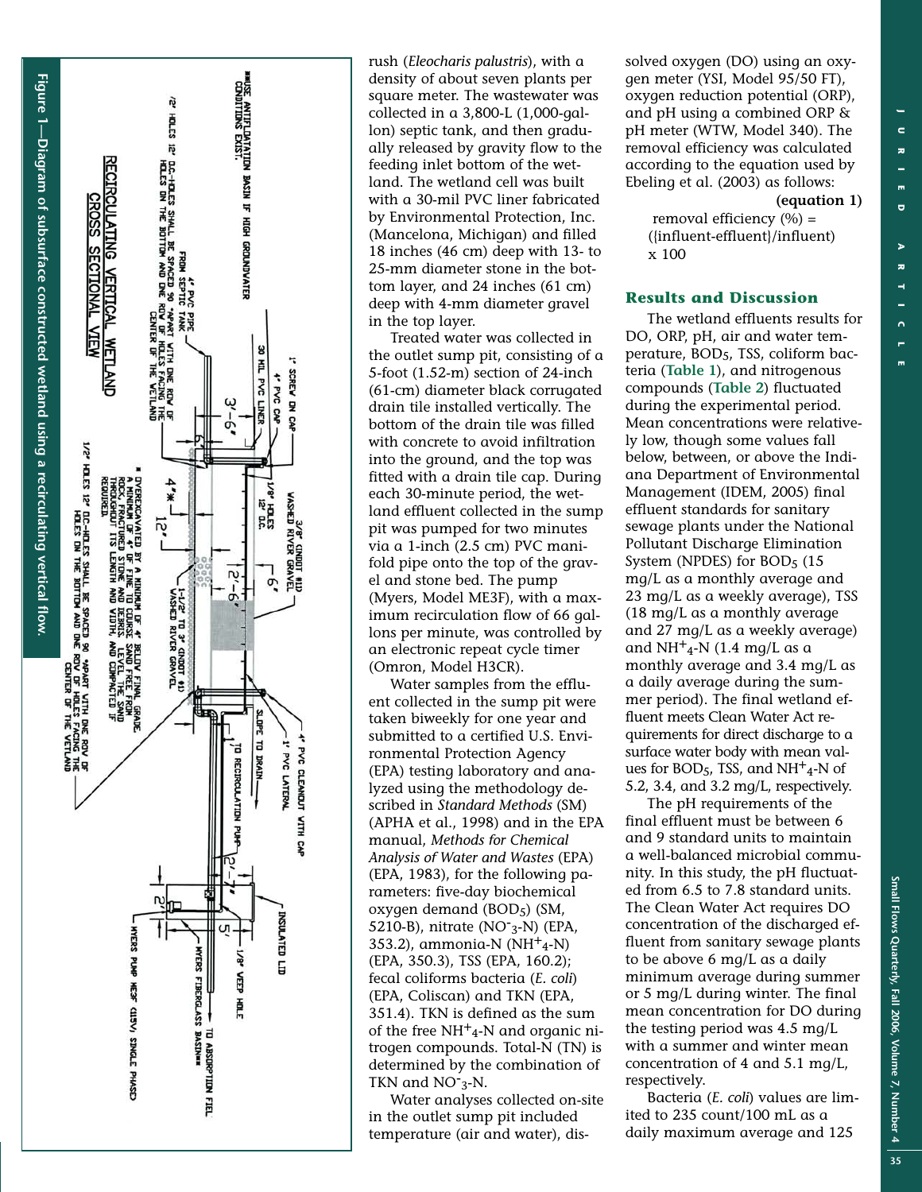





rush (*Eleocharis palustris*), with a density of about seven plants per square meter. The wastewater was collected in a 3,800-L (1,000-gallon) septic tank, and then gradually released by gravity flow to the feeding inlet bottom of the wet land. The wetland cell was built with a 30-mil PVC liner fabricated by Environmental Protection, Inc. (Mancelona, Michigan) and filled 18 inches (46 cm) deep with 13- to 25-mm diameter stone in the bottom layer, and 24 inches (61 cm) deep with 4-mm diameter gravel in the top layer.

Treated water was collected in the outlet sump pit, consisting of a 5-foot (1.52-m) section of 24-inch (61-cm) diameter black corrugated drain tile installed vertically. The bottom of the drain tile was filled with concrete to avoid infiltration into the ground, and the top was fitted with a drain tile cap. During each 30-minute period, the wetland effluent collected in the sump pit was pumped for two minutes via a 1-inch (2.5 cm) PVC manifold pipe onto the top of the gravel and stone bed. The pump (Myers, Model ME3F), with a maximum recirculation flow of 66 gallons per minute, was controlled by an electronic repeat cycle timer (Omron, Model H3CR).

Water samples from the effluent collected in the sump pit were taken biweekly for one year and submitted to a certified U.S. Environmental Protection Agency (EPA) testing laboratory and analyzed using the methodology described in *Standard Methods* (SM) (APHA et al., 1998) and in the EPA manual, *Methods for Chemical Analysis of Water and Wastes* (EPA) (EPA, 1983), for the following parameters: five-day biochemical oxygen demand (BOD 5 ) (SM, 5210-B), nitrate (NO<sup>-</sup>3-N) (EPA, 353.2), ammonia-N (NH<sup>+</sup><sub>4</sub>-N) (EPA, 350.3), TSS (EPA, 160.2); fecal coliforms bacteria (*E. coli* ) (EPA, Coliscan) and TKN (EPA, 351.4). TKN is defined as the sum of the free NH<sup>+</sup>4-N and organic nitrogen compounds. Total-N (TN) is determined by the combination of TKN and  $NO<sub>3</sub>$ -N.

Water analyses collected on-site in the outlet sump pit included temperature (air and water), dissolved oxygen (DO) using an oxygen meter (YSI, Model 95/50 FT), oxygen reduction potential (ORP), and pH using a combined ORP & pH meter (WTW, Model 340). The removal efficiency was calculated according to the equation used by Ebeling et al. (2003) as follows:

### **(equation 1)**

removal efficiency (%) = ({influent-effluent}/influent) x 100

### **Results and Discussion**

The wetland effluents results for DO, ORP, pH, air and water temperature, BOD5, TSS, coliform bacteria (**Table 1**), and nitrogenous compounds ( **Table 2** ) fluctuated during the experimental period. Mean concentrations were relatively low, though some values fall below, between, or above the Indiana Department of Environmental Management (IDEM, 2005) final effluent standards for sanitar y sewage plants under the National Pollutant Discharge Elimination System (NPDES) for BOD 5 (15 mg/L as a monthly average and 23 mg/L as a weekly average), TSS (18 mg/L as a monthly average and 27 mg/L as a weekly average) and  $NH^+_{4}$ -N (1.4 mg/L as a monthly average and 3.4 mg/L as a daily average during the summer period). The final wetland effluent meets Clean Water Act requirements for direct discharge to a surface water body with mean val ues for BOD<sub>5</sub>, TSS, and NH<sup>+</sup>4-N of 5.2, 3.4, and 3.2 mg/L, respectively.

The pH requirements of the final effluent must be between 6 and 9 standard units to maintain a well-balanced microbial community. In this study, the pH fluctuated from 6.5 to 7.8 standard units. The Clean Water Act requires DO concentration of the discharged effluent from sanitary sewage plants to be above 6 mg/L as a daily minimum average during summer or 5 mg/L during winter . The final mean concentration for DO during the testing period was 4.5 mg/L with a summer and winter mean concentration of 4 and 5.1 mg/L, respectively.

Bacteria (*E. coli* ) values are limited to 235 count/100 mL as a daily maximum average and 125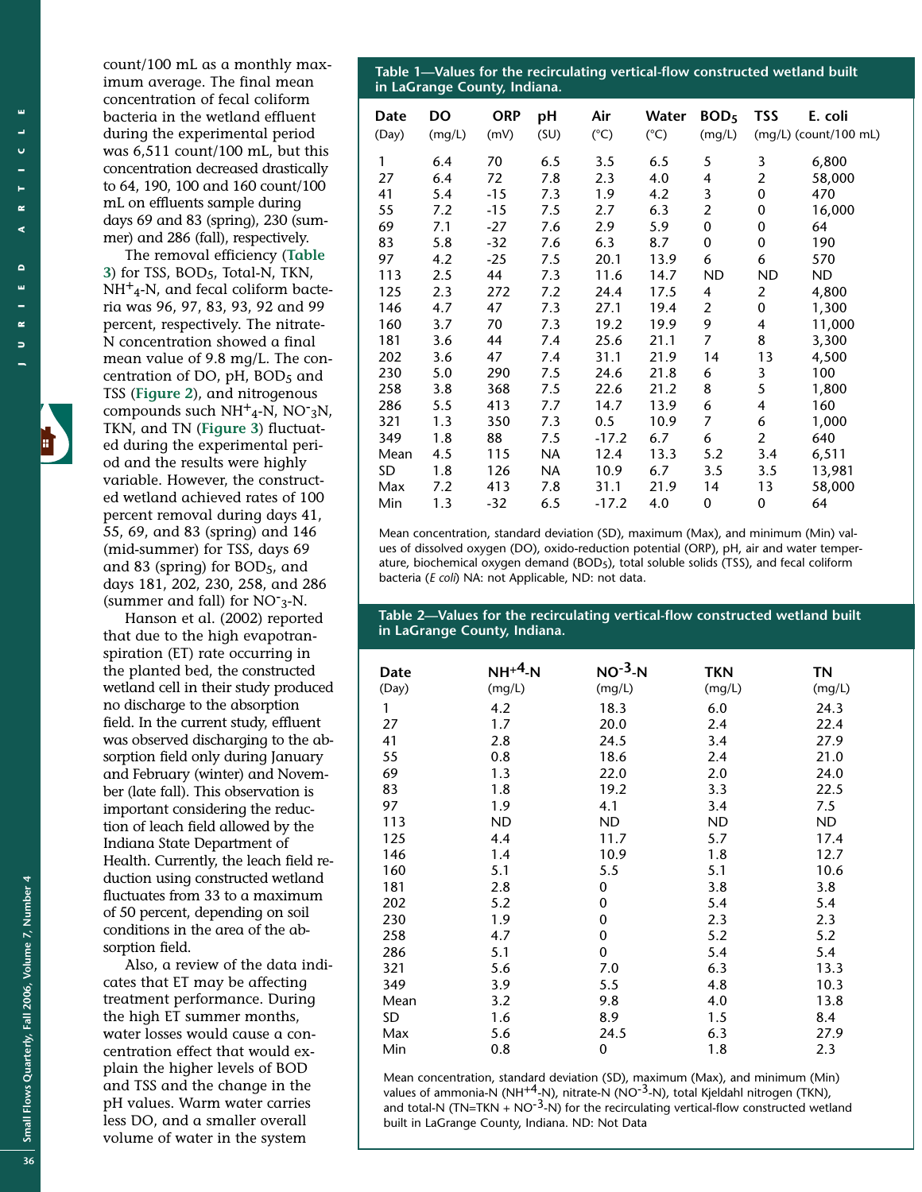щ

Small Flows Quarterly, Fall 2006, Volume 7, Number 4 **Small Flows Quarterly, Fall 2006, Volume 7, Number 4 36** count/100 mL as a monthly maximum average. The final mean concentration of fecal coliform bacteria in the wetland effluent during the experimental period was 6,511 count/100 mL, but this concentration decreased drastically to 64, 190, 100 and 160 count/100 mL on effluents sample during days 69 and 83 (spring), 230 (summer) and 286 (fall), respectively.

The removal efficiency (**Table 3**) for TSS, BOD5, Total-N, TKN,  $NH<sup>+</sup><sub>4</sub>-N$ , and fecal coliform bacteria was 96, 97, 83, 93, 92 and 99 percent, respectively. The nitrate-N concentration showed a final mean value of 9.8 mg/L. The concentration of DO, pH, BOD5 and TSS (**Figure 2**), and nitrogenous compounds such  $NH^+_{4}$ -N, NO<sup>-</sup>3N, TKN, and TN (**Figure 3**) fluctuated during the experimental period and the results were highly variable. However, the constructed wetland achieved rates of 100 percent removal during days 41, 55, 69, and 83 (spring) and 146 (mid-summer) for TSS, days 69 and 83 (spring) for BOD5, and days 181, 202, 230, 258, and 286 (summer and fall) for NO-3-N.

Hanson et al. (2002) reported that due to the high evapotranspiration (ET) rate occurring in the planted bed, the constructed wetland cell in their study produced no discharge to the absorption field. In the current study, effluent was observed discharging to the absorption field only during January and February (winter) and November (late fall). This observation is important considering the reduction of leach field allowed by the Indiana State Department of Health. Currently, the leach field reduction using constructed wetland fluctuates from 33 to a maximum of 50 percent, depending on soil conditions in the area of the absorption field.

Also, a review of the data indicates that ET may be affecting treatment performance. During the high ET summer months, water losses would cause a concentration effect that would explain the higher levels of BOD and TSS and the change in the pH values. Warm water carries less DO, and a smaller overall volume of water in the system

**Table 1—Values for the recirculating vertical-flow constructed wetland built in LaGrange County, Indiana.** 

| Date<br>(Day) | <b>DO</b><br>(mg/L) | <b>ORP</b><br>(mV) | pH<br>(SU) | Air<br>$(^{\circ}C)$ | Water<br>$(^{\circ}C)$ | BOD <sub>5</sub><br>(mg/L) | <b>TSS</b>     | E. coli<br>(mg/L) (count/100 mL) |
|---------------|---------------------|--------------------|------------|----------------------|------------------------|----------------------------|----------------|----------------------------------|
| 1             | 6.4                 | 70                 | 6.5        | 3.5                  | 6.5                    | 5                          | 3              | 6,800                            |
| 27            | 6.4                 | 72                 | 7.8        | 2.3                  | 4.0                    | 4                          | $\overline{2}$ | 58,000                           |
| 41            | 5.4                 | $-15$              | 7.3        | 1.9                  | 4.2                    | 3                          | 0              | 470                              |
| 55            | 7.2                 | -15                | 7.5        | 2.7                  | 6.3                    | 2                          | $\mathbf 0$    | 16,000                           |
| 69            | 7.1                 | -27                | 7.6        | 2.9                  | 5.9                    | 0                          | 0              | 64                               |
| 83            | 5.8                 | $-32$              | 7.6        | 6.3                  | 8.7                    | 0                          | $\mathbf 0$    | 190                              |
| 97            | 4.2                 | $-25$              | 7.5        | 20.1                 | 13.9                   | 6                          | 6              | 570                              |
| 113           | 2.5                 | 44                 | 7.3        | 11.6                 | 14.7                   | <b>ND</b>                  | <b>ND</b>      | <b>ND</b>                        |
| 125           | 2.3                 | 272                | 7.2        | 24.4                 | 17.5                   | 4                          | $\overline{2}$ | 4,800                            |
| 146           | 4.7                 | 47                 | 7.3        | 27.1                 | 19.4                   | 2                          | 0              | 1,300                            |
| 160           | 3.7                 | 70                 | 7.3        | 19.2                 | 19.9                   | 9                          | 4              | 11,000                           |
| 181           | 3.6                 | 44                 | 7.4        | 25.6                 | 21.1                   | 7                          | 8              | 3,300                            |
| 202           | 3.6                 | 47                 | 7.4        | 31.1                 | 21.9                   | 14                         | 13             | 4,500                            |
| 230           | 5.0                 | 290                | 7.5        | 24.6                 | 21.8                   | 6                          | 3              | 100                              |
| 258           | 3.8                 | 368                | 7.5        | 22.6                 | 21.2                   | 8                          | 5              | 1,800                            |
| 286           | 5.5                 | 413                | 7.7        | 14.7                 | 13.9                   | 6                          | 4              | 160                              |
| 321           | 1.3                 | 350                | 7.3        | 0.5                  | 10.9                   | 7                          | 6              | 1,000                            |
| 349           | 1.8                 | 88                 | 7.5        | $-17.2$              | 6.7                    | 6                          | $\overline{2}$ | 640                              |
| Mean          | 4.5                 | 115                | <b>NA</b>  | 12.4                 | 13.3                   | 5.2                        | 3.4            | 6,511                            |
| SD            | 1.8                 | 126                | <b>NA</b>  | 10.9                 | 6.7                    | 3.5                        | 3.5            | 13,981                           |
| Max           | 7.2                 | 413                | 7.8        | 31.1                 | 21.9                   | 14                         | 13             | 58,000                           |
| Min           | 1.3                 | -32                | 6.5        | $-17.2$              | 4.0                    | 0                          | $\mathbf 0$    | 64                               |

Mean concentration, standard deviation (SD), maximum (Max), and minimum (Min) values of dissolved oxygen (DO), oxido-reduction potential (ORP), pH, air and water temperature, biochemical oxygen demand (BOD5), total soluble solids (TSS), and fecal coliform bacteria (*E coli*) NA: not Applicable, ND: not data.

**Table 2—Values for the recirculating vertical-flow constructed wetland built in LaGrange County, Indiana.** 

| Date  | $NH^{+4}$ -N | $NO^{-3}$ -N | <b>TKN</b> | ΤN        |
|-------|--------------|--------------|------------|-----------|
| (Day) | (mg/L)       | (mg/L)       | (mg/L)     | (mg/L)    |
| 1     | 4.2          | 18.3         | 6.0        | 24.3      |
| 27    | 1.7          | 20.0         | 2.4        | 22.4      |
| 41    | 2.8          | 24.5         | 3.4        | 27.9      |
| 55    | 0.8          | 18.6         | 2.4        | 21.0      |
| 69    | 1.3          | 22.0         | 2.0        | 24.0      |
| 83    | 1.8          | 19.2         | 3.3        | 22.5      |
| 97    | 1.9          | 4.1          | 3.4        | 7.5       |
| 113   | <b>ND</b>    | <b>ND</b>    | <b>ND</b>  | <b>ND</b> |
| 125   | 4.4          | 11.7         | 5.7        | 17.4      |
| 146   | 1.4          | 10.9         | 1.8        | 12.7      |
| 160   | 5.1          | 5.5          | 5.1        | 10.6      |
| 181   | 2.8          | 0            | 3.8        | 3.8       |
| 202   | 5.2          | 0            | 5.4        | 5.4       |
| 230   | 1.9          | 0            | 2.3        | 2.3       |
| 258   | 4.7          | 0            | 5.2        | 5.2       |
| 286   | 5.1          | 0            | 5.4        | 5.4       |
| 321   | 5.6          | 7.0          | 6.3        | 13.3      |
| 349   | 3.9          | 5.5          | 4.8        | 10.3      |
| Mean  | 3.2          | 9.8          | 4.0        | 13.8      |
| SD    | 1.6          | 8.9          | 1.5        | 8.4       |
| Max   | 5.6          | 24.5         | 6.3        | 27.9      |
| Min   | 0.8          | 0            | 1.8        | 2.3       |

Mean concentration, standard deviation (SD), maximum (Max), and minimum (Min) values of ammonia-N (NH<sup>+4</sup>-N), nitrate-N (NO<sup>-3</sup>-N), total Kjeldahl nitrogen (TKN), and total-N (TN=TKN + NO<sup>-3</sup>-N) for the recirculating vertical-flow constructed wetland built in LaGrange County, Indiana. ND: Not Data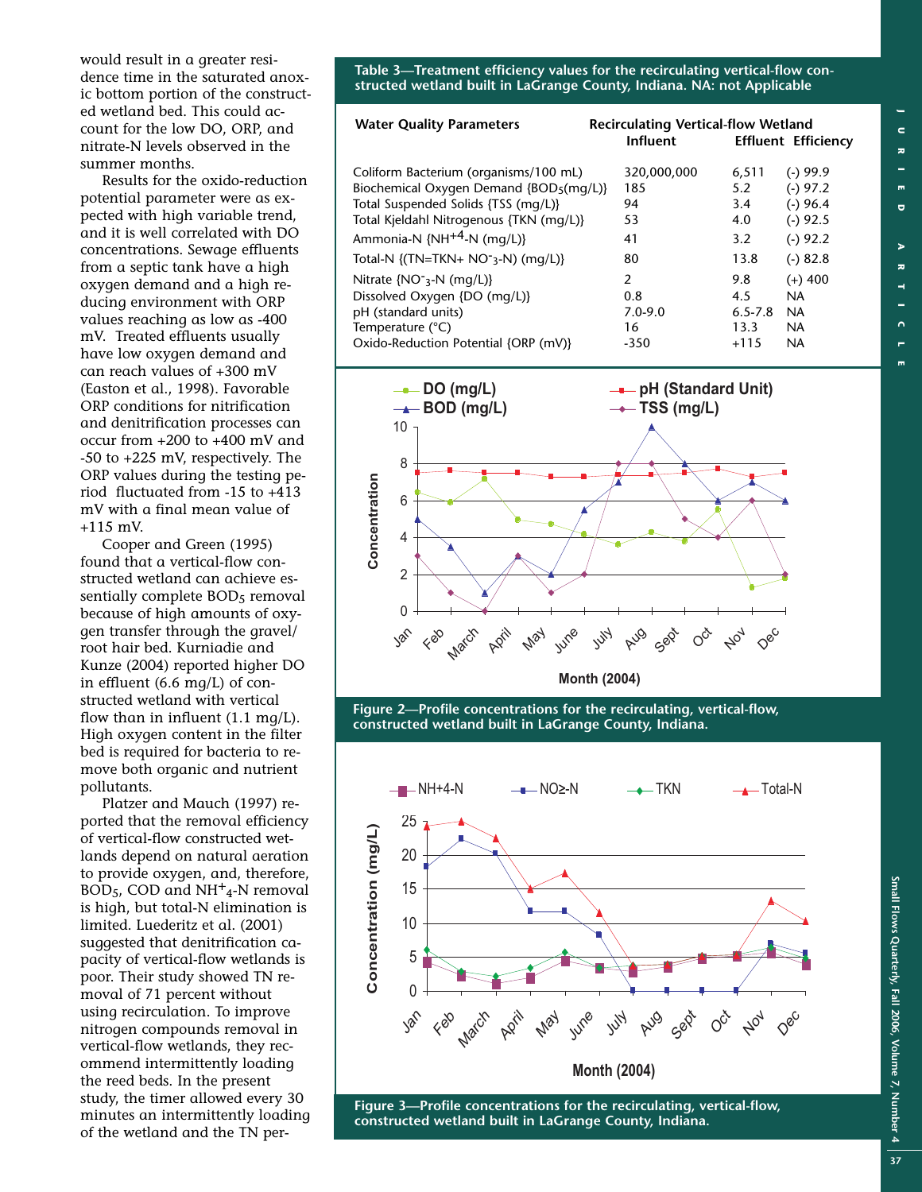would result in a greater residence time in the saturated anoxic bottom portion of the constructed wetland bed. This could account for the low DO, ORP, and nitrate-N levels observed in the summer months.

Results for the oxido-reduction potential parameter were as expected with high variable trend, and it is well correlated with DO concentrations. Sewage effluents from a septic tank have a high oxygen demand and a high reducing environment with ORP values reaching as low as -400 mV. Treated effluents usually have low oxygen demand and can reach values of +300 mV (Easton et al., 1998). Favorable ORP conditions for nitrification and denitrification processes can occur from +200 to +400 mV and -50 to +225 mV, respectively. The ORP values during the testing period fluctuated from -15 to +413 mV with a final mean value of +115 mV.

Cooper and Green (1995) found that a vertical-flow constructed wetland can achieve essentially complete BOD<sub>5</sub> removal because of high amounts of oxygen transfer through the gravel/ root hair bed. Kurniadie and Kunze (2004) reported higher DO in effluent (6.6 mg/L) of constructed wetland with vertical flow than in influent  $(1.1 \text{ mg/L})$ . High oxygen content in the filter bed is required for bacteria to remove both organic and nutrient pollutants.

Platzer and Mauch (1997) reported that the removal efficiency of vertical-flow constructed wetlands depend on natural aeration to provide oxygen, and, therefore, BOD<sub>5</sub>, COD and  $NH<sup>+</sup><sub>4</sub>$ -N removal is high, but total-N elimination is limited. Luederitz et al. (2001) suggested that denitrification capacity of vertical-flow wetlands is poor. Their study showed TN removal of 71 percent without using recirculation. To improve nitrogen compounds removal in vertical-flow wetlands, they recommend intermittently loading the reed beds. In the present study, the timer allowed every 30 minutes an intermittently loading of the wetland and the TN per**Table 3—Treatment efficiency values for the recirculating vertical-flow constructed wetland built in LaGrange County, Indiana. NA: not Applicable**

| <b>Water Quality Parameters</b>                | <b>Recirculating Vertical-flow Wetland</b><br>Influent |             | <b>Effluent Efficiency</b> |  |
|------------------------------------------------|--------------------------------------------------------|-------------|----------------------------|--|
| Coliform Bacterium (organisms/100 mL)          | 320,000,000                                            | 6,511       | $(-)$ 99.9                 |  |
| Biochemical Oxygen Demand $\{BOD_5(mq/L)\}$    | 185                                                    | 5.2         | $(-) 97.2$                 |  |
| Total Suspended Solids {TSS (mg/L)}            | 94                                                     | 3.4         | $(-)$ 96.4                 |  |
| Total Kjeldahl Nitrogenous {TKN (mg/L)}        | 53                                                     | 4.0         | $(-)$ 92.5                 |  |
| Ammonia-N $\{NH^{+4}-N \ (mg/L)\}$             | 41                                                     | 3.2         | $(-) 92.2$                 |  |
| Total-N {(TN=TKN+ NO <sup>-</sup> 3-N) (mg/L)} | 80                                                     | 13.8        | $(-) 82.8$                 |  |
| Nitrate $\{NO^-_3-N \ (mq/L)\}$                | $\overline{2}$                                         | 9.8         | $(+)$ 400                  |  |
| Dissolved Oxygen {DO (mg/L)}                   | 0.8                                                    | 4.5         | NA.                        |  |
| pH (standard units)                            | $7.0 - 9.0$                                            | $6.5 - 7.8$ | NA.                        |  |
| Temperature (°C)                               | 16                                                     | 13.3        | NA.                        |  |
| Oxido-Reduction Potential {ORP (mV)}           | $-350$                                                 | $+115$      | <b>NA</b>                  |  |



**Figure 2—Profile concentrations for the recirculating, vertical-flow, constructed wetland built in LaGrange County, Indiana.**



**Figure 3—Profile concentrations for the recirculating, vertical-flow, constructed wetland built in LaGrange County, Indiana.**

**Small**

**Flows**

**Quarterly,**

**Fall 2006,**

**Volume 7, Number**